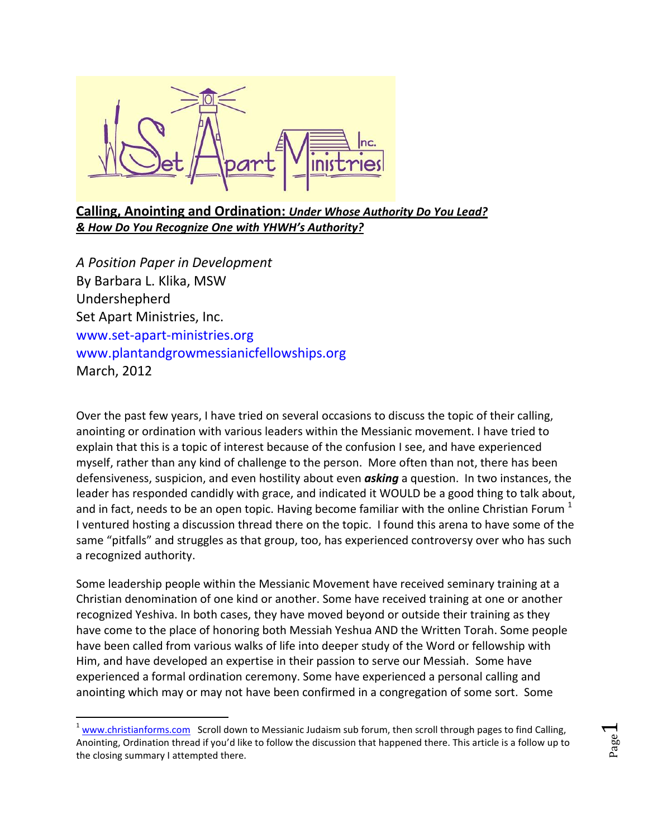

## **Calling, Anointing and Ordination:** *Under Whose Authority Do You Lead? & How Do You Recognize One with YHWH's Authority?*

*A Position Paper in Development* By Barbara L. Klika, MSW Undershepherd Set Apart Ministries, Inc. [www.set-apart-ministries.org](http://www.set-apart-ministries.org/) [www.plantandgrowmessianicfellowships.org](http://www.plantandgrowmessianicfellowships.org/) March, 2012

 $\overline{\phantom{a}}$ 

Over the past few years, I have tried on several occasions to discuss the topic of their calling, anointing or ordination with various leaders within the Messianic movement. I have tried to explain that this is a topic of interest because of the confusion I see, and have experienced myself, rather than any kind of challenge to the person. More often than not, there has been defensiveness, suspicion, and even hostility about even *asking* a question. In two instances, the leader has responded candidly with grace, and indicated it WOULD be a good thing to talk about, and in fact, needs to be an open topic. Having become familiar with the online Christian Forum  $<sup>1</sup>$ </sup> I ventured hosting a discussion thread there on the topic. I found this arena to have some of the same "pitfalls" and struggles as that group, too, has experienced controversy over who has such a recognized authority.

Some leadership people within the Messianic Movement have received seminary training at a Christian denomination of one kind or another. Some have received training at one or another recognized Yeshiva. In both cases, they have moved beyond or outside their training as they have come to the place of honoring both Messiah Yeshua AND the Written Torah. Some people have been called from various walks of life into deeper study of the Word or fellowship with Him, and have developed an expertise in their passion to serve our Messiah. Some have experienced a formal ordination ceremony. Some have experienced a personal calling and anointing which may or may not have been confirmed in a congregation of some sort. Some

 $1$  [www.christianforms.com](http://www.christianforms.com/) Scroll down to Messianic Judaism sub forum, then scroll through pages to find Calling, Anointing, Ordination thread if you'd like to follow the discussion that happened there. This article is a follow up to the closing summary I attempted there.

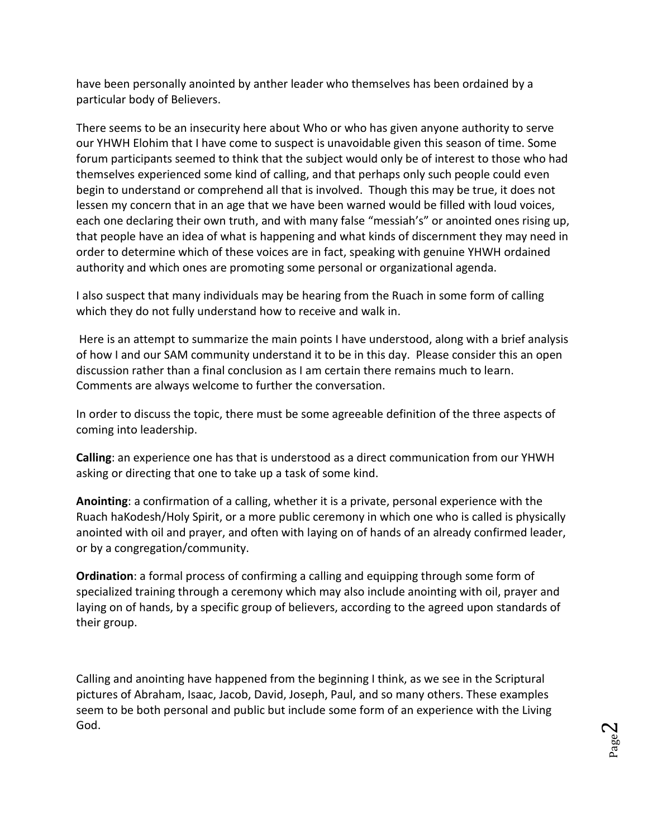have been personally anointed by anther leader who themselves has been ordained by a particular body of Believers.

There seems to be an insecurity here about Who or who has given anyone authority to serve our YHWH Elohim that I have come to suspect is unavoidable given this season of time. Some forum participants seemed to think that the subject would only be of interest to those who had themselves experienced some kind of calling, and that perhaps only such people could even begin to understand or comprehend all that is involved. Though this may be true, it does not lessen my concern that in an age that we have been warned would be filled with loud voices, each one declaring their own truth, and with many false "messiah's" or anointed ones rising up, that people have an idea of what is happening and what kinds of discernment they may need in order to determine which of these voices are in fact, speaking with genuine YHWH ordained authority and which ones are promoting some personal or organizational agenda.

I also suspect that many individuals may be hearing from the Ruach in some form of calling which they do not fully understand how to receive and walk in.

Here is an attempt to summarize the main points I have understood, along with a brief analysis of how I and our SAM community understand it to be in this day. Please consider this an open discussion rather than a final conclusion as I am certain there remains much to learn. Comments are always welcome to further the conversation.

In order to discuss the topic, there must be some agreeable definition of the three aspects of coming into leadership.

**Calling**: an experience one has that is understood as a direct communication from our YHWH asking or directing that one to take up a task of some kind.

**Anointing**: a confirmation of a calling, whether it is a private, personal experience with the Ruach haKodesh/Holy Spirit, or a more public ceremony in which one who is called is physically anointed with oil and prayer, and often with laying on of hands of an already confirmed leader, or by a congregation/community.

**Ordination**: a formal process of confirming a calling and equipping through some form of specialized training through a ceremony which may also include anointing with oil, prayer and laying on of hands, by a specific group of believers, according to the agreed upon standards of their group.

Calling and anointing have happened from the beginning I think, as we see in the Scriptural pictures of Abraham, Isaac, Jacob, David, Joseph, Paul, and so many others. These examples seem to be both personal and public but include some form of an experience with the Living God.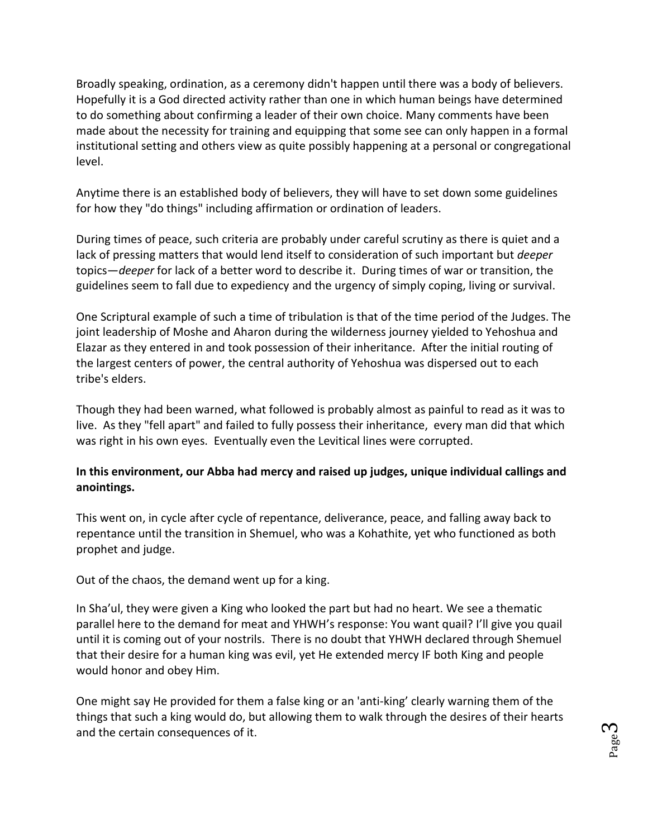Broadly speaking, ordination, as a ceremony didn't happen until there was a body of believers. Hopefully it is a God directed activity rather than one in which human beings have determined to do something about confirming a leader of their own choice. Many comments have been made about the necessity for training and equipping that some see can only happen in a formal institutional setting and others view as quite possibly happening at a personal or congregational level.

Anytime there is an established body of believers, they will have to set down some guidelines for how they "do things" including affirmation or ordination of leaders.

During times of peace, such criteria are probably under careful scrutiny as there is quiet and a lack of pressing matters that would lend itself to consideration of such important but *deeper* topics—*deeper* for lack of a better word to describe it. During times of war or transition, the guidelines seem to fall due to expediency and the urgency of simply coping, living or survival.

One Scriptural example of such a time of tribulation is that of the time period of the Judges. The joint leadership of Moshe and Aharon during the wilderness journey yielded to Yehoshua and Elazar as they entered in and took possession of their inheritance. After the initial routing of the largest centers of power, the central authority of Yehoshua was dispersed out to each tribe's elders.

Though they had been warned, what followed is probably almost as painful to read as it was to live. As they "fell apart" and failed to fully possess their inheritance, every man did that which was right in his own eyes. Eventually even the Levitical lines were corrupted.

### **In this environment, our Abba had mercy and raised up judges, unique individual callings and anointings.**

This went on, in cycle after cycle of repentance, deliverance, peace, and falling away back to repentance until the transition in Shemuel, who was a Kohathite, yet who functioned as both prophet and judge.

Out of the chaos, the demand went up for a king.

In Sha'ul, they were given a King who looked the part but had no heart. We see a thematic parallel here to the demand for meat and YHWH's response: You want quail? I'll give you quail until it is coming out of your nostrils. There is no doubt that YHWH declared through Shemuel that their desire for a human king was evil, yet He extended mercy IF both King and people would honor and obey Him.

One might say He provided for them a false king or an 'anti-king' clearly warning them of the things that such a king would do, but allowing them to walk through the desires of their hearts and the certain consequences of it.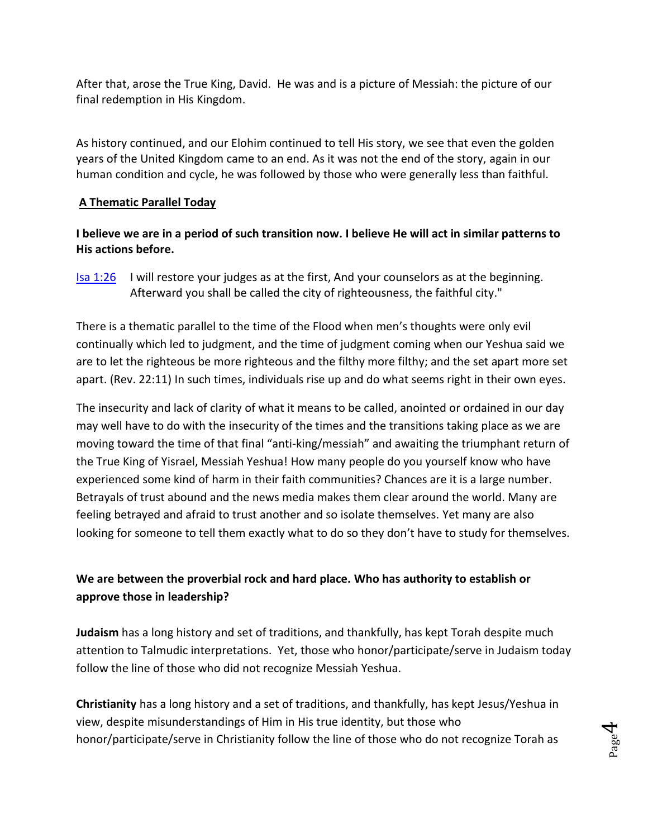After that, arose the True King, David. He was and is a picture of Messiah: the picture of our final redemption in His Kingdom.

As history continued, and our Elohim continued to tell His story, we see that even the golden years of the United Kingdom came to an end. As it was not the end of the story, again in our human condition and cycle, he was followed by those who were generally less than faithful.

#### **A Thematic Parallel Today**

**I believe we are in a period of such transition now. I believe He will act in similar patterns to His actions before.** 

**[Isa 1:26](http://www.blueletterbible.org/Bible.cfm?b=Isa&c=1&v=1&t=NKJV#comm/26)** I will restore your judges as at the first, And your counselors as at the beginning. Afterward you shall be called the city of righteousness, the faithful city."

There is a thematic parallel to the time of the Flood when men's thoughts were only evil continually which led to judgment, and the time of judgment coming when our Yeshua said we are to let the righteous be more righteous and the filthy more filthy; and the set apart more set apart. (Rev. 22:11) In such times, individuals rise up and do what seems right in their own eyes.

The insecurity and lack of clarity of what it means to be called, anointed or ordained in our day may well have to do with the insecurity of the times and the transitions taking place as we are moving toward the time of that final "anti-king/messiah" and awaiting the triumphant return of the True King of Yisrael, Messiah Yeshua! How many people do you yourself know who have experienced some kind of harm in their faith communities? Chances are it is a large number. Betrayals of trust abound and the news media makes them clear around the world. Many are feeling betrayed and afraid to trust another and so isolate themselves. Yet many are also looking for someone to tell them exactly what to do so they don't have to study for themselves.

## **We are between the proverbial rock and hard place. Who has authority to establish or approve those in leadership?**

**Judaism** has a long history and set of traditions, and thankfully, has kept Torah despite much attention to Talmudic interpretations. Yet, those who honor/participate/serve in Judaism today follow the line of those who did not recognize Messiah Yeshua.

**Christianity** has a long history and a set of traditions, and thankfully, has kept Jesus/Yeshua in view, despite misunderstandings of Him in His true identity, but those who honor/participate/serve in Christianity follow the line of those who do not recognize Torah as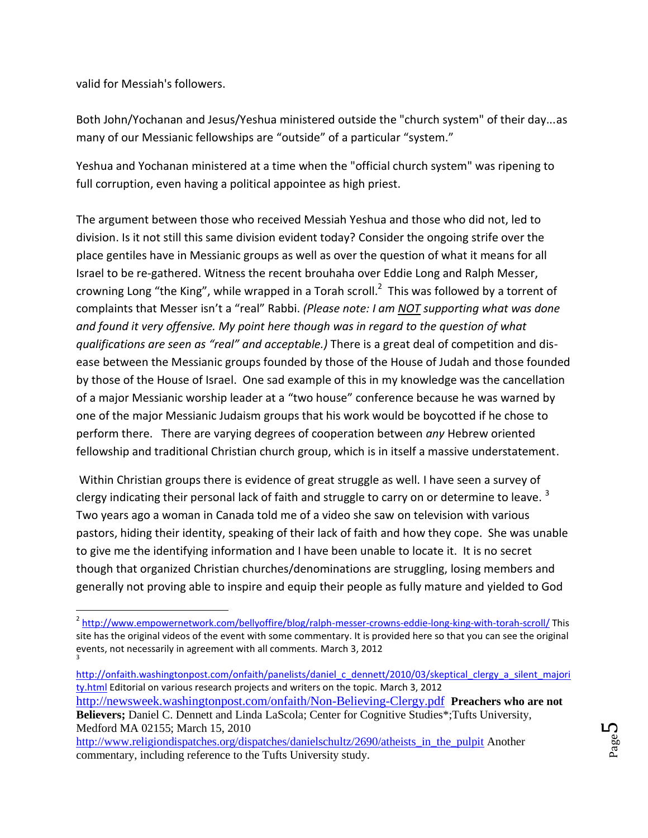valid for Messiah's followers.

l

Both John/Yochanan and Jesus/Yeshua ministered outside the "church system" of their day...as many of our Messianic fellowships are "outside" of a particular "system."

Yeshua and Yochanan ministered at a time when the "official church system" was ripening to full corruption, even having a political appointee as high priest.

The argument between those who received Messiah Yeshua and those who did not, led to division. Is it not still this same division evident today? Consider the ongoing strife over the place gentiles have in Messianic groups as well as over the question of what it means for all Israel to be re-gathered. Witness the recent brouhaha over Eddie Long and Ralph Messer, crowning Long "the King", while wrapped in a Torah scroll.<sup>2</sup> This was followed by a torrent of complaints that Messer isn't a "real" Rabbi. *(Please note: I am NOT supporting what was done and found it very offensive. My point here though was in regard to the question of what qualifications are seen as "real" and acceptable.)* There is a great deal of competition and disease between the Messianic groups founded by those of the House of Judah and those founded by those of the House of Israel. One sad example of this in my knowledge was the cancellation of a major Messianic worship leader at a "two house" conference because he was warned by one of the major Messianic Judaism groups that his work would be boycotted if he chose to perform there. There are varying degrees of cooperation between *any* Hebrew oriented fellowship and traditional Christian church group, which is in itself a massive understatement.

Within Christian groups there is evidence of great struggle as well. I have seen a survey of clergy indicating their personal lack of faith and struggle to carry on or determine to leave.<sup>3</sup> Two years ago a woman in Canada told me of a video she saw on television with various pastors, hiding their identity, speaking of their lack of faith and how they cope. She was unable to give me the identifying information and I have been unable to locate it. It is no secret though that organized Christian churches/denominations are struggling, losing members and generally not proving able to inspire and equip their people as fully mature and yielded to God

<sup>&</sup>lt;sup>2</sup> <http://www.empowernetwork.com/bellyoffire/blog/ralph-messer-crowns-eddie-long-king-with-torah-scroll/> This site has the original videos of the event with some commentary. It is provided here so that you can see the original events, not necessarily in agreement with all comments. March 3, 2012 3

[http://onfaith.washingtonpost.com/onfaith/panelists/daniel\\_c\\_dennett/2010/03/skeptical\\_clergy\\_a\\_silent\\_majori](http://onfaith.washingtonpost.com/onfaith/panelists/daniel_c_dennett/2010/03/skeptical_clergy_a_silent_majority.html) [ty.html](http://onfaith.washingtonpost.com/onfaith/panelists/daniel_c_dennett/2010/03/skeptical_clergy_a_silent_majority.html) Editorial on various research projects and writers on the topic. March 3, 2012 <http://newsweek.washingtonpost.com/onfaith/Non-Believing-Clergy.pdf> **Preachers who are not Believers;** Daniel C. Dennett and Linda LaScola; Center for Cognitive Studies\*;Tufts University, Medford MA 02155; March 15, 2010

[http://www.religiondispatches.org/dispatches/danielschultz/2690/atheists\\_in\\_the\\_pulpit](http://www.religiondispatches.org/dispatches/danielschultz/2690/atheists_in_the_pulpit) Another commentary, including reference to the Tufts University study.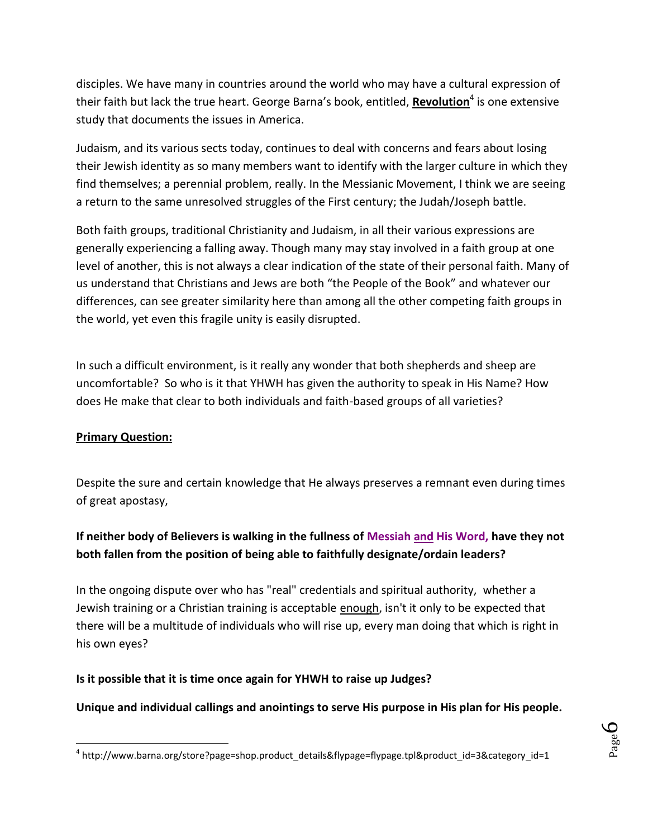disciples. We have many in countries around the world who may have a cultural expression of their faith but lack the true heart. George Barna's book, entitled, **Revolution**<sup>4</sup> is one extensive study that documents the issues in America.

Judaism, and its various sects today, continues to deal with concerns and fears about losing their Jewish identity as so many members want to identify with the larger culture in which they find themselves; a perennial problem, really. In the Messianic Movement, I think we are seeing a return to the same unresolved struggles of the First century; the Judah/Joseph battle.

Both faith groups, traditional Christianity and Judaism, in all their various expressions are generally experiencing a falling away. Though many may stay involved in a faith group at one level of another, this is not always a clear indication of the state of their personal faith. Many of us understand that Christians and Jews are both "the People of the Book" and whatever our differences, can see greater similarity here than among all the other competing faith groups in the world, yet even this fragile unity is easily disrupted.

In such a difficult environment, is it really any wonder that both shepherds and sheep are uncomfortable? So who is it that YHWH has given the authority to speak in His Name? How does He make that clear to both individuals and faith-based groups of all varieties?

### **Primary Question:**

 $\overline{\phantom{a}}$ 

Despite the sure and certain knowledge that He always preserves a remnant even during times of great apostasy,

# **If neither body of Believers is walking in the fullness of Messiah and His Word, have they not both fallen from the position of being able to faithfully designate/ordain leaders?**

In the ongoing dispute over who has "real" credentials and spiritual authority, whether a Jewish training or a Christian training is acceptable enough, isn't it only to be expected that there will be a multitude of individuals who will rise up, every man doing that which is right in his own eyes?

### **Is it possible that it is time once again for YHWH to raise up Judges?**

### **Unique and individual callings and anointings to serve His purpose in His plan for His people.**

<sup>4</sup> http://www.barna.org/store?page=shop.product\_details&flypage=flypage.tpl&product\_id=3&category\_id=1